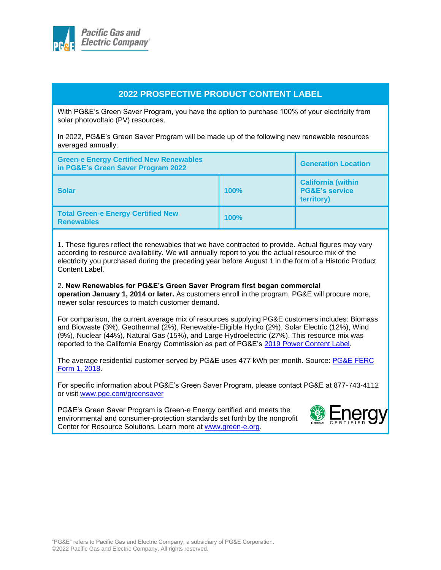

## **2022 PROSPECTIVE PRODUCT CONTENT LABEL**

With PG&E's Green Saver Program, you have the option to purchase 100% of your electricity from solar photovoltaic (PV) resources.

In 2022, PG&E's Green Saver Program will be made up of the following new renewable resources averaged annually.

| <b>Green-e Energy Certified New Renewables</b><br>in PG&E's Green Saver Program 2022 |      | <b>Generation Location</b>                                           |
|--------------------------------------------------------------------------------------|------|----------------------------------------------------------------------|
| <b>Solar</b>                                                                         | 100% | <b>California (within</b><br><b>PG&amp;E's service</b><br>territory) |
| <b>Total Green-e Energy Certified New</b><br><b>Renewables</b>                       | 100% |                                                                      |

1. These figures reflect the renewables that we have contracted to provide. Actual figures may vary according to resource availability. We will annually report to you the actual resource mix of the electricity you purchased during the preceding year before August 1 in the form of a Historic Product Content Label.

2. **New Renewables for PG&E's Green Saver Program first began commercial operation January 1, 2014 or later.** As customers enroll in the program, PG&E will procure more, newer solar resources to match customer demand.

For comparison, the current average mix of resources supplying PG&E customers includes: Biomass and Biowaste (3%), Geothermal (2%), Renewable-Eligible Hydro (2%), Solar Electric (12%), Wind (9%), Nuclear (44%), Natural Gas (15%), and Large Hydroelectric (27%). This resource mix was reported to the California Energy Commission as part of PG&E's [2019 Power Content Label.](https://www.pge.com/pge_global/common/pdfs/your-account/your-bill/understand-your-bill/bill-inserts/2020/1220-PowerContent-ADA.pdf)

The average residential customer served by PG&E uses 477 kWh per month. Source: PG&E FERC [Form 1, 2018.](https://www.pge.com/pge_global/common/pdfs/about-pge/company-information/regulation/FERCForm1.pdf)

For specific information about PG&E's Green Saver Program, please contact PG&E at 877-743-4112 or visit [www.pge.com/greensaver](http://www.pge.com/greensaver)

PG&E's Green Saver Program is Green-e Energy certified and meets the environmental and consumer-protection standards set forth by the nonprofit Center for Resource Solutions. Learn more at [www.green-e.org.](http://www.green-e.org/)